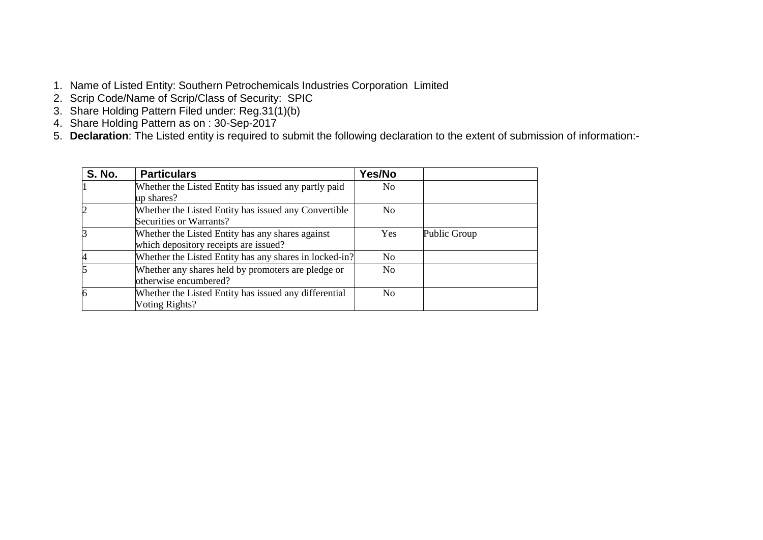- 1. Name of Listed Entity: Southern Petrochemicals Industries Corporation Limited
- 2. Scrip Code/Name of Scrip/Class of Security: SPIC
- 3. Share Holding Pattern Filed under: Reg.31(1)(b)
- 4. Share Holding Pattern as on : 30-Sep-2017
- 5. **Declaration**: The Listed entity is required to submit the following declaration to the extent of submission of information:-

| <b>S. No.</b> | <b>Particulars</b>                                                                        | Yes/No     |              |
|---------------|-------------------------------------------------------------------------------------------|------------|--------------|
|               | Whether the Listed Entity has issued any partly paid<br>up shares?                        | No         |              |
|               | Whether the Listed Entity has issued any Convertible<br>Securities or Warrants?           | No         |              |
|               | Whether the Listed Entity has any shares against<br>which depository receipts are issued? | <b>Yes</b> | Public Group |
|               | Whether the Listed Entity has any shares in locked-in?                                    | No         |              |
|               | Whether any shares held by promoters are pledge or<br>otherwise encumbered?               | No         |              |
|               | Whether the Listed Entity has issued any differential<br>Voting Rights?                   | No         |              |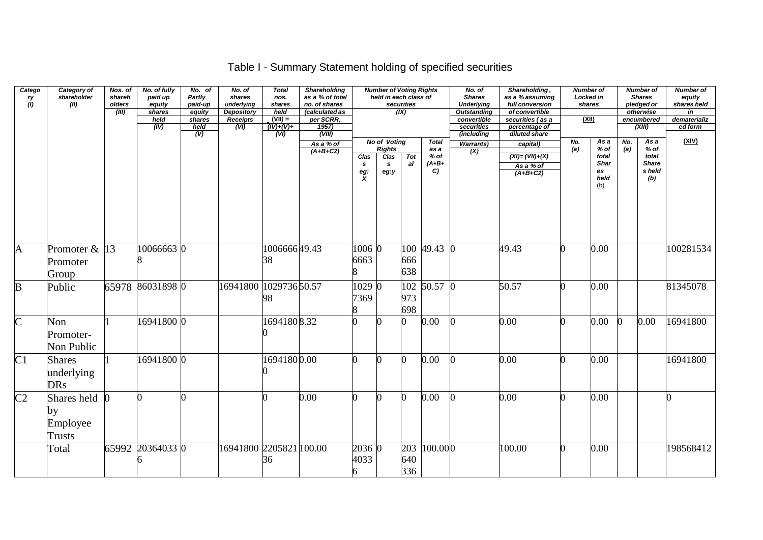## Table I - Summary Statement holding of specified securities

| Catego<br>ry<br>(l)   | Category of<br>shareholder<br>(II)        | Nos. of<br>shareh<br>olders<br>(III) | No. of fully<br>paid up<br>equity<br>shares<br>held<br>(IV) | No. of<br>Partly<br>paid-up<br>equity<br>shares<br>held<br>(V) | No. of<br>shares<br>underlying<br><b>Depository</b><br><b>Receipts</b><br>$\overline{(V)}$ | <b>Total</b><br>nos.<br>shares<br>held<br>$(VII) =$<br>$(IV)+(V)+$<br>$\overline{(VU)}$ | <b>Shareholding</b><br>as a % of total<br>no. of shares<br>(calculated as<br>per SCRR,<br>1957)<br>(VIII) |                                        | <b>Number of Voting Rights</b><br>held in each class of   | securities<br>(IX) |                                                 | No. of<br><b>Shares</b><br><b>Underlying</b><br><b>Outstanding</b><br>convertible<br>securities<br>(including | Shareholding,<br>as a % assuming<br>full conversion<br>of convertible<br>securities (as a<br>percentage of<br>diluted share |                       | <b>Number of</b><br>Locked in<br>shares<br>(XII)            |            | <b>Number of</b><br><b>Shares</b><br>pledged or<br>otherwise<br>encumbered<br>(XIII) | <b>Number of</b><br>equity<br>shares held<br>in<br>dematerializ<br>ed form |
|-----------------------|-------------------------------------------|--------------------------------------|-------------------------------------------------------------|----------------------------------------------------------------|--------------------------------------------------------------------------------------------|-----------------------------------------------------------------------------------------|-----------------------------------------------------------------------------------------------------------|----------------------------------------|-----------------------------------------------------------|--------------------|-------------------------------------------------|---------------------------------------------------------------------------------------------------------------|-----------------------------------------------------------------------------------------------------------------------------|-----------------------|-------------------------------------------------------------|------------|--------------------------------------------------------------------------------------|----------------------------------------------------------------------------|
|                       |                                           |                                      |                                                             |                                                                |                                                                                            |                                                                                         | As a % of<br>$(A+B+C2)$                                                                                   | Clas<br>$\mathbf{s}$<br>$\frac{eg}{X}$ | <b>No of Voting</b><br><b>Rights</b><br>Clas<br>s<br>eg:y | Tot<br>al          | <b>Total</b><br>as a<br>$%$ of<br>$(A+B+$<br>C) | <b>Warrants</b> )<br>(X)                                                                                      | capital)<br>$(XI) = (VII) + (X)$<br>As a % of<br>$(A+B+C2)$                                                                 | No.<br>$\overline{a}$ | As a<br>$%$ of<br>total<br><b>Shar</b><br>es<br>held<br>(b) | No.<br>(a) | As a<br>$%$ of<br>total<br><b>Share</b><br>s held<br>(b)                             | (XIV)                                                                      |
| $\mathbf{A}$          | Promoter $&$ 13<br>Promoter<br>Group      |                                      | 100666630                                                   |                                                                |                                                                                            | 100666649.43<br>38                                                                      |                                                                                                           | 1006 0<br>6663                         |                                                           | 100<br>666<br>638  | 49.43                                           |                                                                                                               | 49.43                                                                                                                       |                       | 0.00                                                        |            |                                                                                      | 100281534                                                                  |
| B                     | Public                                    | 65978                                | 86031898 0                                                  |                                                                | 16941800                                                                                   | 102973650.57<br>98                                                                      |                                                                                                           | 1029 0<br>7369                         |                                                           | 102<br>973<br>698  | 50.57 0                                         |                                                                                                               | 50.57                                                                                                                       | ∩                     | 0.00                                                        |            |                                                                                      | 81345078                                                                   |
| $\overline{\text{C}}$ | Non<br>Promoter-<br>Non Public            |                                      | 16941800 0                                                  |                                                                |                                                                                            | 16941808.32                                                                             |                                                                                                           |                                        |                                                           |                    | 0.00                                            |                                                                                                               | 0.00                                                                                                                        |                       | 0.00                                                        |            | 0.00                                                                                 | 16941800                                                                   |
| C <sub>1</sub>        | <b>Shares</b><br>underlying<br><b>DRs</b> |                                      | 16941800 0                                                  |                                                                |                                                                                            | 16941800.00                                                                             |                                                                                                           |                                        | 0                                                         |                    | 0.00                                            |                                                                                                               | 0.00                                                                                                                        | n                     | 0.00                                                        |            |                                                                                      | 16941800                                                                   |
| C <sub>2</sub>        | Shares held<br>by<br>Employee<br>Trusts   |                                      |                                                             |                                                                |                                                                                            |                                                                                         | 0.00                                                                                                      |                                        | ∩                                                         |                    | 0.00                                            |                                                                                                               | 0.00                                                                                                                        |                       | 0.00                                                        |            |                                                                                      |                                                                            |
|                       | Total                                     |                                      | 65992 20364033 0                                            |                                                                | 16941800 2205821 100.00                                                                    | 36                                                                                      |                                                                                                           | 2036 0<br>4033<br>6                    |                                                           | 203<br>640<br>336  | 100.000                                         |                                                                                                               | 100.00                                                                                                                      | O                     | 0.00                                                        |            |                                                                                      | 198568412                                                                  |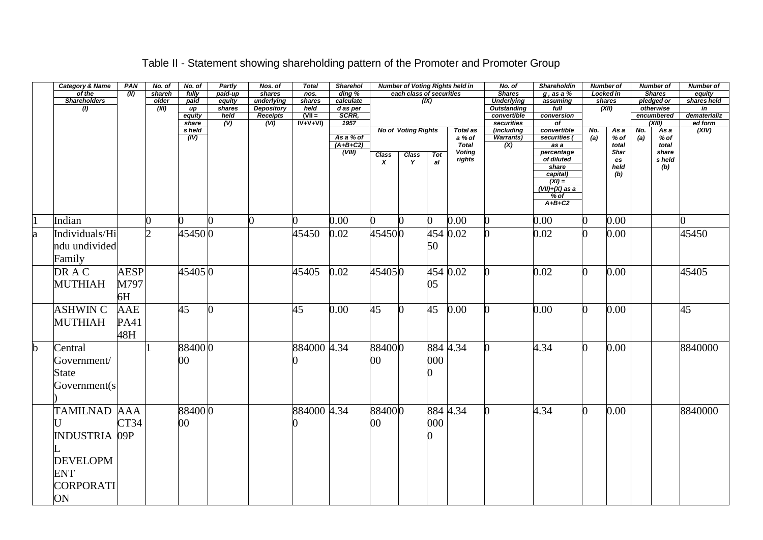|   | <b>Category &amp; Name</b><br>of the                                                            | PAN<br>(II)               | No. of<br>shareh | No. of<br>fully         | Partly<br>paid-up         | Nos. of<br>shares                                  | <b>Total</b><br>nos.    | <b>Sharehol</b><br>ding %                 |                           | each class of securities                        |                  | <b>Number of Voting Rights held in</b>                               | No. of<br><b>Shares</b>                                                   | <b>Shareholdin</b><br>$g$ , as a $%$                                                                                                                          | <b>Number of</b><br>Locked in |                                                           |            | <b>Number of</b><br><b>Shares</b>                         | <b>Number of</b><br>equity        |
|---|-------------------------------------------------------------------------------------------------|---------------------------|------------------|-------------------------|---------------------------|----------------------------------------------------|-------------------------|-------------------------------------------|---------------------------|-------------------------------------------------|------------------|----------------------------------------------------------------------|---------------------------------------------------------------------------|---------------------------------------------------------------------------------------------------------------------------------------------------------------|-------------------------------|-----------------------------------------------------------|------------|-----------------------------------------------------------|-----------------------------------|
|   | <b>Shareholders</b><br>(1)                                                                      |                           | older<br>(III)   | paid<br>up<br>equity    | equity<br>shares<br>held  | underlying<br><b>Depository</b><br><b>Receipts</b> | shares<br>held<br>$N =$ | calculate<br>d as per<br>SCRR,            |                           |                                                 | (X)              |                                                                      | <b>Underlying</b><br><b>Outstanding</b><br>convertible                    | assuming<br>full<br>conversion                                                                                                                                | (XII)                         | shares                                                    |            | pledged or<br>otherwise<br>encumbered                     | shares held<br>in<br>dematerializ |
|   |                                                                                                 |                           |                  | share<br>s held<br>(IV) | $\overline{(\mathsf{V})}$ | (VI)                                               | $IV+V+VI$               | 1957<br>As a % of<br>$(A+B+C2)$<br>(VIII) | Class<br>$\boldsymbol{x}$ | <b>No of Voting Rights</b><br><b>Class</b><br>Y | <b>Tot</b><br>al | <b>Total as</b><br>a % of<br><b>Total</b><br><b>Voting</b><br>rights | securities<br>(including<br><b>Warrants)</b><br>$\overline{(\mathsf{X})}$ | $\overline{of}$<br>convertible<br>securities (<br>as a<br>percentage<br>of diluted<br>share<br>capital)<br>$(XI) =$<br>$(VII)+(X)$ as a<br>$%$ of<br>$A+B+C2$ | No.<br>(a)                    | As a<br>% of<br>total<br><b>Shar</b><br>es<br>held<br>(b) | No.<br>(a) | (XIII)<br>As a<br>% of<br>total<br>share<br>s held<br>(b) | ed form<br>(XIV)                  |
|   | Indian                                                                                          |                           | 0                | 0                       | 0                         | <sup>0</sup>                                       | O.                      | 0.00                                      | 0                         | $\bf{0}$                                        | $\mathbf{0}$     | 0.00                                                                 |                                                                           | 0.00                                                                                                                                                          | 0                             | 0.00                                                      |            |                                                           | 0                                 |
| a | Individuals/Hi<br>ndu undivided<br>Family                                                       |                           |                  | 454500                  |                           |                                                    | 45450                   | 0.02                                      | 454500                    |                                                 | 50               | 454 0.02                                                             |                                                                           | 0.02                                                                                                                                                          | n                             | 0.00                                                      |            |                                                           | 45450                             |
|   | DR A C<br><b>MUTHIAH</b>                                                                        | <b>AESP</b><br>M797<br>6H |                  | 454050                  |                           |                                                    | 45405                   | 0.02                                      | 454050                    |                                                 | 05               | 454 0.02                                                             |                                                                           | 0.02                                                                                                                                                          | O.                            | 0.00                                                      |            |                                                           | 45405                             |
|   | <b>ASHWINC</b><br><b>MUTHIAH</b>                                                                | <b>AAE</b><br>PA41<br>48H |                  | 45                      | ∩                         |                                                    | 45                      | 0.00                                      | 45                        | <sup>0</sup>                                    | 45               | 0.00                                                                 |                                                                           | 0.00                                                                                                                                                          | <sub>0</sub>                  | 0.00                                                      |            |                                                           | 45                                |
| b | Central<br>Government/<br><b>State</b><br>Government(s                                          |                           |                  | 884000<br>$00\,$        |                           |                                                    | 884000 4.34             |                                           | 884000<br>00              |                                                 | 000              | 884 4.34                                                             |                                                                           | 4.34                                                                                                                                                          | n                             | 0.00                                                      |            |                                                           | 8840000                           |
|   | TAMILNAD AAA<br><b>INDUSTRIA 09P</b><br><b>DEVELOPM</b><br><b>ENT</b><br><b>CORPORATI</b><br>ON | CT34                      |                  | 884000<br>00            |                           |                                                    | 884000 4.34             |                                           | 884000<br>00              |                                                 | 000              | 884 4.34                                                             |                                                                           | 4.34                                                                                                                                                          | O.                            | 0.00                                                      |            |                                                           | 8840000                           |

## Table II - Statement showing shareholding pattern of the Promoter and Promoter Group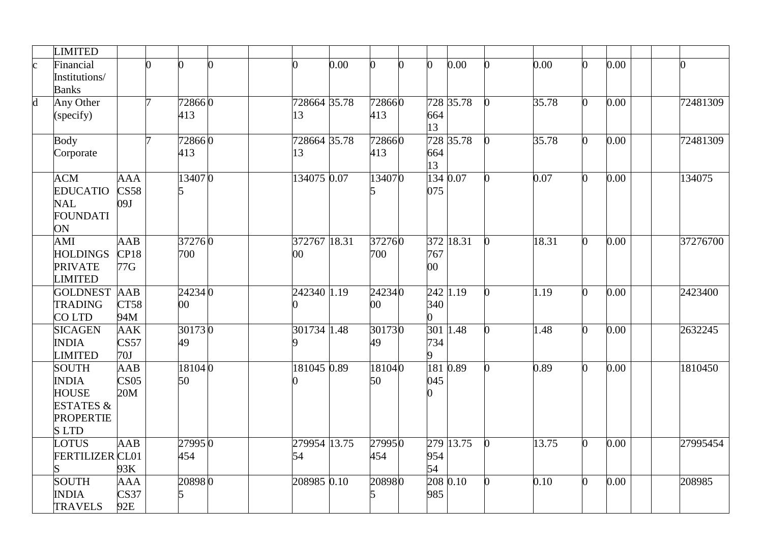|                | <b>LIMITED</b>       |                  |   |        |   |              |      |        |   |                |           |       |    |      |  |          |
|----------------|----------------------|------------------|---|--------|---|--------------|------|--------|---|----------------|-----------|-------|----|------|--|----------|
| $\mathbf c$    | Financial            |                  | 0 | 0      | 0 |              | 0.00 | 0      | 0 | $\overline{0}$ | 0.00      | 0.00  |    | 0.00 |  |          |
|                | Institutions/        |                  |   |        |   |              |      |        |   |                |           |       |    |      |  |          |
|                | <b>Banks</b>         |                  |   |        |   |              |      |        |   |                |           |       |    |      |  |          |
| $\overline{d}$ | Any Other            |                  | 7 | 728660 |   | 728664 35.78 |      | 728660 |   |                | 728 35.78 | 35.78 |    | 0.00 |  | 72481309 |
|                | (specify)            |                  |   | 413    |   | 13           |      | 413    |   | 664            |           |       |    |      |  |          |
|                |                      |                  |   |        |   |              |      |        |   | 13             |           |       |    |      |  |          |
|                | <b>Body</b>          |                  | 7 | 728660 |   | 728664 35.78 |      | 728660 |   |                | 728 35.78 | 35.78 |    | 0.00 |  | 72481309 |
|                | Corporate            |                  |   | 413    |   | 13           |      | 413    |   | 664            |           |       |    |      |  |          |
|                |                      |                  |   |        |   |              |      |        |   | 13             |           |       |    |      |  |          |
|                | <b>ACM</b>           | <b>AAA</b>       |   | 134070 |   | 134075 0.07  |      | 134070 |   | 134 0.07       |           | 0.07  |    | 0.00 |  | 134075   |
|                | <b>EDUCATIO</b>      | CS58             |   |        |   |              |      |        |   | 075            |           |       |    |      |  |          |
|                | <b>NAL</b>           | 09J              |   |        |   |              |      |        |   |                |           |       |    |      |  |          |
|                | FOUNDATI             |                  |   |        |   |              |      |        |   |                |           |       |    |      |  |          |
|                | ON                   |                  |   |        |   |              |      |        |   |                |           |       |    |      |  |          |
|                | AMI                  | AAB              |   | 372760 |   | 372767 18.31 |      | 372760 |   |                | 372 18.31 | 18.31 | O. | 0.00 |  | 37276700 |
|                | <b>HOLDINGS</b>      | CP18             |   | 700    |   | 00           |      | 700    |   | 767            |           |       |    |      |  |          |
|                | <b>PRIVATE</b>       | 77G              |   |        |   |              |      |        |   | $00\,$         |           |       |    |      |  |          |
|                | <b>LIMITED</b>       |                  |   |        |   |              |      |        |   |                |           |       |    |      |  |          |
|                | <b>GOLDNEST AAB</b>  |                  |   | 242340 |   | 242340 1.19  |      | 242340 |   | 242 1.19       |           | 1.19  | O. | 0.00 |  | 2423400  |
|                |                      | CT58             |   |        |   |              |      |        |   |                |           |       |    |      |  |          |
|                | <b>TRADING</b>       |                  |   | $00\,$ |   |              |      | $00\,$ |   | 340            |           |       |    |      |  |          |
|                | <b>COLTD</b>         | 94M              |   |        |   |              |      |        |   | 0              |           |       |    |      |  |          |
|                | <b>SICAGEN</b>       | <b>AAK</b>       |   | 301730 |   | 301734 1.48  |      | 301730 |   | 301            | 1.48      | 1.48  | O. | 0.00 |  | 2632245  |
|                | <b>INDIA</b>         | CS57             |   | 49     |   |              |      | 49     |   | 734            |           |       |    |      |  |          |
|                | <b>LIMITED</b>       | 70J              |   |        |   |              |      |        |   | 9              |           |       |    |      |  |          |
|                | <b>SOUTH</b>         | <b>AAB</b>       |   | 181040 |   | 181045 0.89  |      | 181040 |   | 181            | 0.89      | 0.89  | O. | 0.00 |  | 1810450  |
|                | <b>INDIA</b>         | CS <sub>05</sub> |   | 50     |   |              |      | 50     |   | 045            |           |       |    |      |  |          |
|                | <b>HOUSE</b>         | 20M              |   |        |   |              |      |        |   |                |           |       |    |      |  |          |
|                | <b>ESTATES &amp;</b> |                  |   |        |   |              |      |        |   |                |           |       |    |      |  |          |
|                | <b>PROPERTIE</b>     |                  |   |        |   |              |      |        |   |                |           |       |    |      |  |          |
|                | <b>SLTD</b>          |                  |   |        |   |              |      |        |   |                |           |       |    |      |  |          |
|                | <b>LOTUS</b>         | AAB              |   | 279950 |   | 279954 13.75 |      | 279950 |   | 279            | 13.75     | 13.75 | n  | 0.00 |  | 27995454 |
|                | FERTILIZER CL01      |                  |   | 454    |   | 54           |      | 454    |   | 954            |           |       |    |      |  |          |
|                |                      | 93K              |   |        |   |              |      |        |   | 54             |           |       |    |      |  |          |
|                | <b>SOUTH</b>         | <b>AAA</b>       |   | 208980 |   | 208985 0.10  |      | 208980 |   | 208 0.10       |           | 0.10  |    | 0.00 |  | 208985   |
|                | <b>INDIA</b>         | CS37             |   | 5      |   |              |      |        |   | 985            |           |       |    |      |  |          |
|                | <b>TRAVELS</b>       | 92E              |   |        |   |              |      |        |   |                |           |       |    |      |  |          |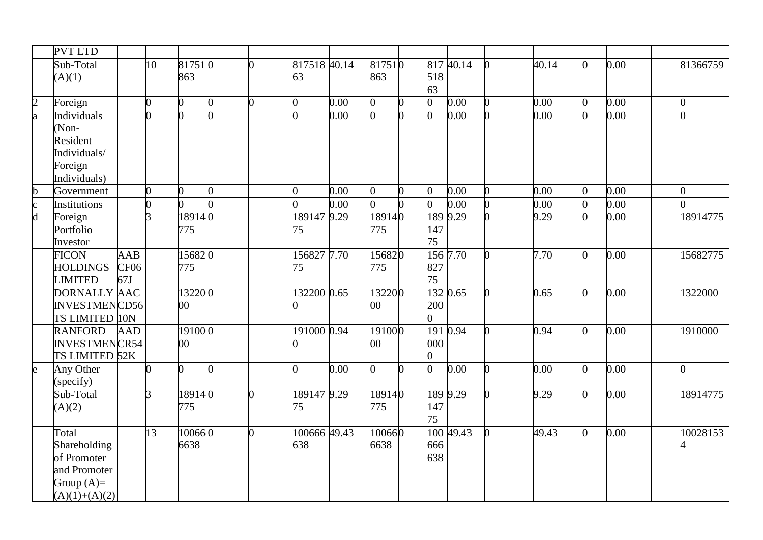|                         | <b>PVT LTD</b>       |                  |          |                |                |   |              |      |                |   |                |           |   |       |    |      |  |          |
|-------------------------|----------------------|------------------|----------|----------------|----------------|---|--------------|------|----------------|---|----------------|-----------|---|-------|----|------|--|----------|
|                         | Sub-Total            |                  | 10       | 817510         |                | ∩ | 817518 40.14 |      | 817510         |   | 817            | 40.14     |   | 40.14 |    | 0.00 |  | 81366759 |
|                         | (A)(1)               |                  |          | 863            |                |   | 63           |      | 863            |   | 518            |           |   |       |    |      |  |          |
|                         |                      |                  |          |                |                |   |              |      |                |   | 63             |           |   |       |    |      |  |          |
| $\overline{2}$          | Foreign              |                  | 0        | 0              | $\overline{0}$ | 0 | ∩            | 0.00 | 0              | 0 | $\overline{0}$ | 0.00      |   | 0.00  |    | 0.00 |  | 0        |
| a                       | Individuals          |                  | $\Omega$ | $\Omega$       | <sup>o</sup>   |   |              | 0.00 | $\overline{0}$ | 0 | $\overline{0}$ | 0.00      |   | 0.00  |    | 0.00 |  |          |
|                         | (Non-                |                  |          |                |                |   |              |      |                |   |                |           |   |       |    |      |  |          |
|                         | Resident             |                  |          |                |                |   |              |      |                |   |                |           |   |       |    |      |  |          |
|                         | Individuals/         |                  |          |                |                |   |              |      |                |   |                |           |   |       |    |      |  |          |
|                         | Foreign              |                  |          |                |                |   |              |      |                |   |                |           |   |       |    |      |  |          |
|                         | Individuals)         |                  |          |                |                |   |              |      |                |   |                |           |   |       |    |      |  |          |
| $\mathbf b$             | Government           |                  | $\Omega$ | ሰ              | 0              |   |              | 0.00 | 0              | 0 | 0              | 0.00      |   | 0.00  |    | 0.00 |  |          |
| $\mathbf c$             | Institutions         |                  |          |                |                |   |              | 0.00 |                |   |                | 0.00      |   | 0.00  |    | 0.00 |  |          |
| $\overline{\mathbf{d}}$ | Foreign              |                  | 3        | 189140         |                |   | 189147 9.29  |      | 189140         |   |                | 189 9.29  |   | 9.29  |    | 0.00 |  | 18914775 |
|                         | Portfolio            |                  |          | 775            |                |   | 75           |      | 775            |   | 147            |           |   |       |    |      |  |          |
|                         | Investor             |                  |          |                |                |   |              |      |                |   | 75             |           |   |       |    |      |  |          |
|                         | <b>FICON</b>         | AAB              |          | 156820         |                |   | 156827 7.70  |      | 156820         |   |                | 156 7.70  | ∩ | 7.70  |    | 0.00 |  | 15682775 |
|                         | <b>HOLDINGS</b>      | CF <sub>06</sub> |          | 775            |                |   | 75           |      | 775            |   | 827            |           |   |       |    |      |  |          |
|                         | <b>LIMITED</b>       | 67J              |          |                |                |   |              |      |                |   | 75             |           |   |       |    |      |  |          |
|                         | <b>DORNALLY AAC</b>  |                  |          | 132200         |                |   | 132200 0.65  |      | 132200         |   |                | 132 0.65  |   | 0.65  | ∩  | 0.00 |  | 1322000  |
|                         | <b>INVESTMENCD56</b> |                  |          | 0 <sup>0</sup> |                |   |              |      | $00\,$         |   | 200            |           |   |       |    |      |  |          |
|                         | TS LIMITED 10N       |                  |          |                |                |   |              |      |                |   |                |           |   |       |    |      |  |          |
|                         | <b>RANFORD</b>       | <b>AAD</b>       |          | 191000         |                |   | 191000 0.94  |      | 191000         |   |                | 191 0.94  |   | 0.94  |    | 0.00 |  | 1910000  |
|                         | <b>INVESTMENCR54</b> |                  |          | 0 <sup>0</sup> |                |   |              |      | $00\,$         |   | 000            |           |   |       |    |      |  |          |
|                         | TS LIMITED 52K       |                  |          |                |                |   |              |      |                |   |                |           |   |       |    |      |  |          |
| $\mathsf{e}$            | Any Other            |                  | 0        | 0              | O.             |   | $\Omega$     | 0.00 | 0              | 0 | $\overline{0}$ | 0.00      |   | 0.00  | 0  | 0.00 |  | 0        |
|                         | (specify)            |                  |          |                |                |   |              |      |                |   |                |           |   |       |    |      |  |          |
|                         | Sub-Total            |                  | 3        | 189140         |                | ∩ | 189147 9.29  |      | 189140         |   |                | 189 9.29  |   | 9.29  |    | 0.00 |  | 18914775 |
|                         | (A)(2)               |                  |          | 775            |                |   | 75           |      | 775            |   | 147            |           |   |       |    |      |  |          |
|                         |                      |                  |          |                |                |   |              |      |                |   | 75             |           |   |       |    |      |  |          |
|                         | Total                |                  | 13       | 100660         |                | O | 100666 49.43 |      | 100660         |   |                | 100 49.43 |   | 49.43 | O. | 0.00 |  | 10028153 |
|                         | Shareholding         |                  |          | 6638           |                |   | 638          |      | 6638           |   | 666            |           |   |       |    |      |  |          |
|                         | of Promoter          |                  |          |                |                |   |              |      |                |   | 638            |           |   |       |    |      |  |          |
|                         | and Promoter         |                  |          |                |                |   |              |      |                |   |                |           |   |       |    |      |  |          |
|                         | Group $(A)=$         |                  |          |                |                |   |              |      |                |   |                |           |   |       |    |      |  |          |
|                         | $(A)(1)+(A)(2)$      |                  |          |                |                |   |              |      |                |   |                |           |   |       |    |      |  |          |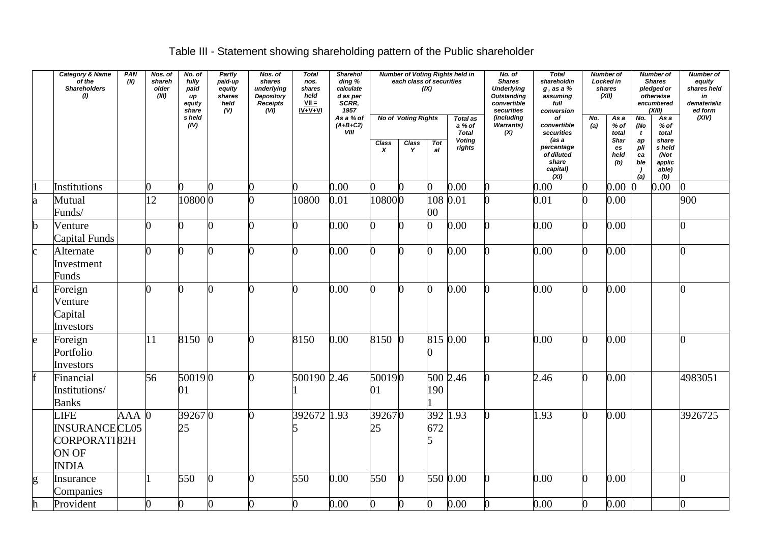## Table III - Statement showing shareholding pattern of the Public shareholder

|                         | <b>Category &amp; Name</b><br>of the<br><b>Shareholders</b><br>(1)           | PAN<br>(II) | Nos. of<br>shareh<br>older<br>(III) | No. of<br>fully<br>paid<br>иp<br>equity<br>share | <b>Partly</b><br>paid-up<br>equity<br>shares<br>held<br>(V) | Nos. of<br>shares<br>underlying<br>Depository<br><b>Receipts</b><br>(VI) | <b>Total</b><br>nos.<br>shares<br>held<br>$VII =$<br>$IV + V + VI$ | Sharehol<br>ding %<br>calculate<br>d as per<br>SCRR,<br>1957 |              | each class of securities                 | (IX)       | <b>Number of Voting Rights held in</b>                               | No. of<br><b>Shares</b><br><b>Underlying</b><br><b>Outstanding</b><br>convertible<br>securities | <b>Total</b><br>shareholdin<br>$g$ , as a $%$<br>assuming<br>full<br>conversion | shares<br>(XII) | <b>Number of</b><br>Locked in              |                                    | <b>Number of</b><br><b>Shares</b><br>pledged or<br>otherwise<br>encumbered<br>(XIII) | Number of<br>equity<br>shares held<br>in<br>dematerializ<br>ed form |
|-------------------------|------------------------------------------------------------------------------|-------------|-------------------------------------|--------------------------------------------------|-------------------------------------------------------------|--------------------------------------------------------------------------|--------------------------------------------------------------------|--------------------------------------------------------------|--------------|------------------------------------------|------------|----------------------------------------------------------------------|-------------------------------------------------------------------------------------------------|---------------------------------------------------------------------------------|-----------------|--------------------------------------------|------------------------------------|--------------------------------------------------------------------------------------|---------------------------------------------------------------------|
|                         |                                                                              |             |                                     | s held<br>(IV)                                   |                                                             |                                                                          |                                                                    | As a % of<br>$(A+B+C2)$<br>VIII                              | Class        | <b>No of Voting Rights</b><br>Class<br>Y | <b>Tot</b> | <b>Total as</b><br>a % of<br><b>Total</b><br><b>Voting</b><br>rights | (including<br>Warrants)<br>(X)                                                                  | of<br>convertible<br>securities<br>(as a<br>percentage                          | No.<br>(a)      | As a<br>% of<br>total<br><b>Shar</b><br>es | No.<br>(No<br>t<br>ap<br>pli       | Asa<br>% of<br>total<br>share<br>s held                                              | (XIV)                                                               |
|                         |                                                                              |             |                                     |                                                  |                                                             |                                                                          |                                                                    |                                                              | X            |                                          | al         |                                                                      |                                                                                                 | of diluted<br>share<br>capital)<br>(XI)                                         |                 | held<br>(b)                                | ca<br>ble<br>$\overline{ }$<br>(a) | (Not<br>applic<br>able)<br>(b)                                                       |                                                                     |
| $\mathbf{1}$            | Institutions                                                                 |             | 0                                   | ∩                                                | 0                                                           |                                                                          |                                                                    | 0.00                                                         | 0            | <sup>0</sup>                             | 0          | 0.00                                                                 |                                                                                                 | 0.00                                                                            |                 | 0.00                                       | $\Omega$                           | 0.00                                                                                 | 0                                                                   |
| a                       | Mutual<br>Funds/                                                             |             | $\overline{12}$                     | 108000                                           |                                                             |                                                                          | 10800                                                              | 0.01                                                         | 108000       |                                          | 00         | 108 0.01                                                             |                                                                                                 | 0.01                                                                            | 0               | 0.00                                       |                                    |                                                                                      | 900                                                                 |
| b                       | Venture<br>Capital Funds                                                     |             | 0                                   |                                                  | 0                                                           |                                                                          |                                                                    | 0.00                                                         | 0            | ∩                                        | 0          | 0.00                                                                 |                                                                                                 | 0.00                                                                            | 0               | 0.00                                       |                                    |                                                                                      | ∩                                                                   |
| $\mathbf{c}$            | Alternate<br>Investment<br>Funds                                             |             | n                                   |                                                  | O                                                           |                                                                          |                                                                    | 0.00                                                         | O            | 0                                        | $\bf{0}$   | 0.00                                                                 |                                                                                                 | 0.00                                                                            | n               | 0.00                                       |                                    |                                                                                      | U                                                                   |
| $\mathbf d$             | Foreign<br>Venture<br>Capital<br>Investors                                   |             | $\Omega$                            | ∩                                                | O                                                           |                                                                          |                                                                    | 0.00                                                         | ∩            | ∩                                        | U          | 0.00                                                                 |                                                                                                 | 0.00                                                                            | ∩               | 0.00                                       |                                    |                                                                                      | n                                                                   |
| e                       | Foreign<br>Portfolio<br>Investors                                            |             | 11                                  | 8150                                             | $\Omega$                                                    |                                                                          | 8150                                                               | 0.00                                                         | 8150         | $\Omega$                                 |            | 815 0.00                                                             |                                                                                                 | 0.00                                                                            | ∩               | 0.00                                       |                                    |                                                                                      | 0                                                                   |
| $\overline{\mathrm{f}}$ | Financial<br>Institutions/<br><b>Banks</b>                                   |             | 56                                  | 500190<br>01                                     |                                                             |                                                                          | 500190 2.46                                                        |                                                              | 500190<br>01 |                                          | 190        | 500 2.46                                                             |                                                                                                 | 2.46                                                                            | ∩               | 0.00                                       |                                    |                                                                                      | 4983051                                                             |
|                         | <b>LIFE</b><br><b>INSURANCECL05</b><br>CORPORATI82H<br>ON OF<br><b>INDIA</b> | AAA 0       |                                     | 392670<br>25                                     |                                                             |                                                                          | 392672 1.93                                                        |                                                              | 392670<br>25 |                                          | 672<br>l5  | 392 1.93                                                             |                                                                                                 | 1.93                                                                            | ∩               | 0.00                                       |                                    |                                                                                      | 3926725                                                             |
| g                       | Insurance<br>Companies                                                       |             |                                     | 550                                              | $\overline{0}$                                              | ∩                                                                        | 550                                                                | 0.00                                                         | 550          | $\bf{0}$                                 |            | 550 0.00                                                             |                                                                                                 | 0.00                                                                            | 0               | 0.00                                       |                                    |                                                                                      | 0                                                                   |
| h                       | Provident                                                                    |             | n                                   |                                                  |                                                             |                                                                          |                                                                    | 0.00                                                         | 0            | 0                                        |            | 0.00                                                                 |                                                                                                 | 0.00                                                                            | 0               | 0.00                                       |                                    |                                                                                      | O.                                                                  |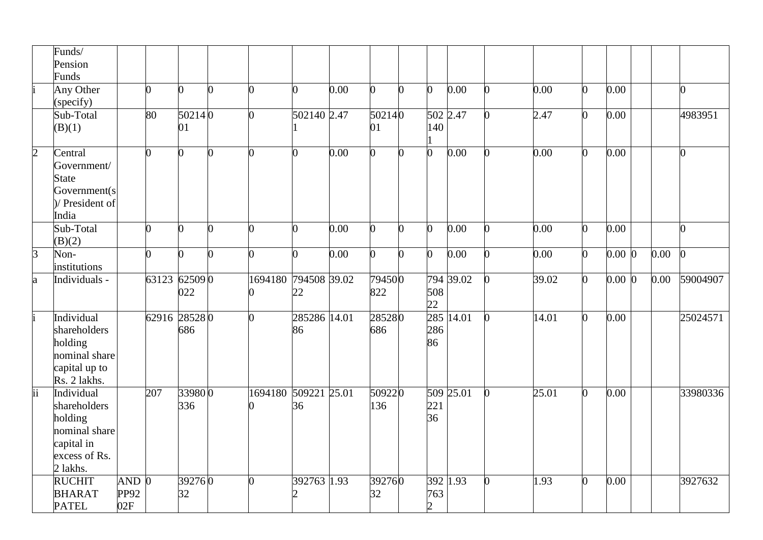|                 | Funds/<br>Pension<br>Funds<br>Any Other<br>(specify)                                              |                           | $\Omega$       | l0            | $\Omega$       | 0                    | <sub>0</sub>       | 0.00 | 0             | 0              | $\overline{0}$        | 0.00      | 0              | 0.00  | $\overline{0}$ | 0.00      |      | $\overline{0}$ |
|-----------------|---------------------------------------------------------------------------------------------------|---------------------------|----------------|---------------|----------------|----------------------|--------------------|------|---------------|----------------|-----------------------|-----------|----------------|-------|----------------|-----------|------|----------------|
|                 | Sub-Total<br>(B)(1)                                                                               |                           | 80             | 502140<br>01  |                | 0                    | 502140 2.47        |      | 502140<br>01  |                | 140                   | 502 2.47  | $\Omega$       | 2.47  | $\overline{0}$ | 0.00      |      | 4983951        |
| $\overline{2}$  | Central<br>Government/<br><b>State</b><br>Government(s<br>)/ President of<br>India                |                           | $\overline{0}$ | 0             | $\overline{0}$ | O                    | n                  | 0.00 | 0             | 0              | $\overline{0}$        | 0.00      | $\overline{0}$ | 0.00  | 0              | 0.00      |      | $\mathbf{0}$   |
|                 | Sub-Total<br>(B)(2)                                                                               |                           | $\overline{0}$ | O             | 0              | ∩                    | 0                  | 0.00 | 0             | $\overline{0}$ | 0                     | 0.00      | $\overline{0}$ | 0.00  | $\overline{0}$ | 0.00      |      | $\overline{0}$ |
| $\overline{3}$  | Non-<br>institutions                                                                              |                           | 0              | 0             | $\Omega$       | 0                    | U                  | 0.00 | 0             | $\overline{0}$ | $\overline{0}$        | 0.00      | $\Omega$       | 0.00  | $\overline{0}$ | $0.00\,0$ | 0.00 | $\mathbf{0}$   |
| a               | Individuals -                                                                                     |                           | 63123          | 625090<br>022 |                | 1694180 794508 39.02 | 22                 |      | 794500<br>822 |                | 508<br>22             | 794 39.02 | $\overline{0}$ | 39.02 | 0              | $0.00\,0$ | 0.00 | 59004907       |
|                 | Individual<br>shareholders<br>holding<br>nominal share<br>capital up to<br>Rs. 2 lakhs.           |                           | 62916 28528 0  | 686           |                | n                    | 285286 14.01<br>86 |      | 285280<br>686 |                | 285<br>286<br>86      | 14.01     | $\Omega$       | 14.01 | $\overline{0}$ | 0.00      |      | 25024571       |
| $\overline{ii}$ | Individual<br>shareholders<br>holding<br>nominal share<br>capital in<br>excess of Rs.<br>2 lakhs. |                           | 207            | 339800<br>336 |                | 1694180              | 509221 25.01<br>36 |      | 509220<br>136 |                | 221<br>36             | 509 25.01 | $\overline{0}$ | 25.01 | $\overline{0}$ | 0.00      |      | 33980336       |
|                 | <b>RUCHIT</b><br><b>BHARAT</b><br><b>PATEL</b>                                                    | <b>AND</b><br>PP92<br>02F | $\Omega$       | 392760<br>32  |                | O                    | 392763 1.93        |      | 392760<br>32  |                | 763<br>$\overline{2}$ | 392 1.93  | $\overline{0}$ | 1.93  | 0              | 0.00      |      | 3927632        |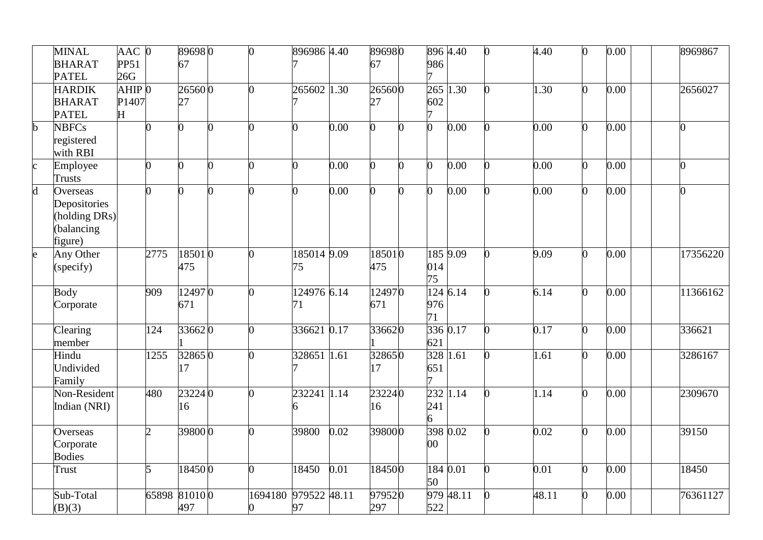|                         | <b>MINAL</b>  | $AAC$ 0             |                | 896980   |   | 0       | 896986 4.40  |      | 896980         |                |          | 896 4.40  | $\bf{0}$       | 4.40  | $\overline{0}$ | 0.00 | 8969867        |
|-------------------------|---------------|---------------------|----------------|----------|---|---------|--------------|------|----------------|----------------|----------|-----------|----------------|-------|----------------|------|----------------|
|                         | <b>BHARAT</b> | <b>PP51</b>         |                | 67       |   |         |              |      | 67             |                | 986      |           |                |       |                |      |                |
|                         | <b>PATEL</b>  | 26G                 |                |          |   |         |              |      |                |                |          |           |                |       |                |      |                |
|                         | <b>HARDIK</b> | $AHIP$ <sub>0</sub> |                | 265600   |   |         | 265602 1.30  |      | 265600         |                |          | 265 1.30  |                | 1.30  | $\overline{0}$ | 0.00 | 2656027        |
|                         | <b>BHARAT</b> | P1407               |                | 27       |   |         |              |      | 27             |                | 602      |           |                |       |                |      |                |
|                         | <b>PATEL</b>  | $\mathbf H$         |                |          |   |         |              |      |                |                |          |           |                |       |                |      |                |
| $\overline{\mathbf{b}}$ | <b>NBFCs</b>  |                     | 0              | 0        | 0 | ∩       |              | 0.00 | 0              | O.             |          | 0.00      |                | 0.00  | $\overline{0}$ | 0.00 | $\overline{0}$ |
|                         | registered    |                     |                |          |   |         |              |      |                |                |          |           |                |       |                |      |                |
|                         | with RBI      |                     |                |          |   |         |              |      |                |                |          |           |                |       |                |      |                |
| $\mathbf c$             | Employee      |                     | 0              | ∩        | 0 | ∩       |              | 0.00 | 0              | ∩              |          | 0.00      |                | 0.00  | $\overline{0}$ | 0.00 | $\overline{0}$ |
|                         | Trusts        |                     |                |          |   |         |              |      |                |                |          |           |                |       |                |      |                |
| $\overline{\mathrm{d}}$ | Overseas      |                     | 0              | $\Omega$ | 0 | ∩       |              | 0.00 | $\overline{0}$ | $\overline{0}$ | 0        | 0.00      | n.             | 0.00  | $\overline{0}$ | 0.00 | $\overline{0}$ |
|                         | Depositories  |                     |                |          |   |         |              |      |                |                |          |           |                |       |                |      |                |
|                         | (holding DRs) |                     |                |          |   |         |              |      |                |                |          |           |                |       |                |      |                |
|                         | balancing     |                     |                |          |   |         |              |      |                |                |          |           |                |       |                |      |                |
|                         | figure)       |                     |                |          |   |         |              |      |                |                |          |           |                |       |                |      |                |
| $\overline{e}$          | Any Other     |                     | 2775           | 185010   |   |         | 185014 9.09  |      | 185010         |                |          | 185 9.09  |                | 9.09  | 0              | 0.00 | 17356220       |
|                         | (specify)     |                     |                | 475      |   |         | 75           |      | 475            |                | 014      |           |                |       |                |      |                |
|                         |               |                     |                |          |   |         |              |      |                |                | 75       |           |                |       |                |      |                |
|                         | Body          |                     | 909            | 124970   |   | ∩       | 124976 6.14  |      | 124970         |                |          | 124 6.14  |                | 6.14  | 0              | 0.00 | 11366162       |
|                         | Corporate     |                     |                | 671      |   |         | 71           |      | 671            |                | 976      |           |                |       |                |      |                |
|                         |               |                     |                |          |   |         |              |      |                |                | 71       |           |                |       |                |      |                |
|                         | Clearing      |                     | 124            | 336620   |   | 0       | 336621 0.17  |      | 336620         |                |          | 336 0.17  | $\overline{0}$ | 0.17  | $\overline{0}$ | 0.00 | 336621         |
|                         | member        |                     |                |          |   |         |              |      |                |                | 621      |           |                |       |                |      |                |
|                         | Hindu         |                     | 1255           | 328650   |   |         | 328651 1.61  |      | 328650         |                | 328 1.61 |           | $\overline{0}$ | 1.61  | $\overline{0}$ | 0.00 | 3286167        |
|                         | Undivided     |                     |                | 17       |   |         |              |      | 17             |                | 651      |           |                |       |                |      |                |
|                         | Family        |                     |                |          |   |         |              |      |                |                |          |           |                |       |                |      |                |
|                         | Non-Resident  |                     | 480            | 232240   |   |         | 232241 1.14  |      | 232240         |                | 232      | 1.14      |                | 1.14  | $\overline{0}$ | 0.00 | 2309670        |
|                         | Indian (NRI)  |                     |                | 16       |   |         |              |      | 16             |                | 241      |           |                |       |                |      |                |
|                         |               |                     |                |          |   |         |              |      |                |                | 6        |           |                |       |                |      |                |
|                         | Overseas      |                     | $\overline{2}$ | 398000   |   |         | 39800        | 0.02 | 398000         |                |          | 398 0.02  |                | 0.02  | $\overline{0}$ | 0.00 | 39150          |
|                         | Corporate     |                     |                |          |   |         |              |      |                |                | $00\,$   |           |                |       |                |      |                |
|                         | <b>Bodies</b> |                     |                |          |   |         |              |      |                |                |          |           |                |       |                |      |                |
|                         | Trust         |                     | 5              | 184500   |   | 0       | 18450        | 0.01 | 184500         |                | 184 0.01 |           |                | 0.01  | $\overline{0}$ | 0.00 | 18450          |
|                         |               |                     |                |          |   |         |              |      |                |                | 50       |           |                |       |                |      |                |
|                         | Sub-Total     |                     | 65898 81010 0  |          |   | 1694180 | 979522 48.11 |      | 979520         |                |          | 979 48.11 |                | 48.11 | $\overline{0}$ | 0.00 | 76361127       |
|                         | (B)(3)        |                     |                | 497      |   |         | 97           |      | 297            |                | 522      |           |                |       |                |      |                |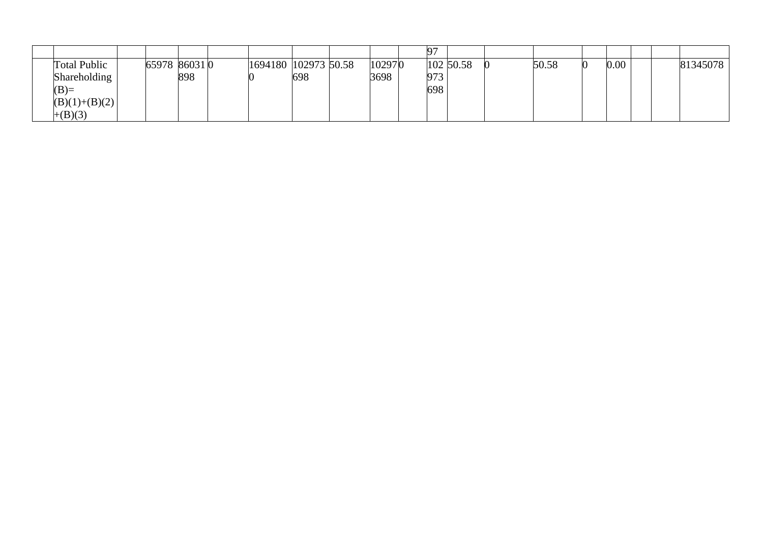| <b>Total Public</b> | 65978 86031 0 |     | 1694180 102973 50.58 |     | 102970 |     | 102 50.58 | 50.58 | 0.00 |  | 81345078 |
|---------------------|---------------|-----|----------------------|-----|--------|-----|-----------|-------|------|--|----------|
| Shareholding        |               | 898 |                      | 698 | 3698   | 973 |           |       |      |  |          |
| $(B)=$              |               |     |                      |     |        | 698 |           |       |      |  |          |
| $(B)(1)+(B)(2)$     |               |     |                      |     |        |     |           |       |      |  |          |
| $+(B)(3)$           |               |     |                      |     |        |     |           |       |      |  |          |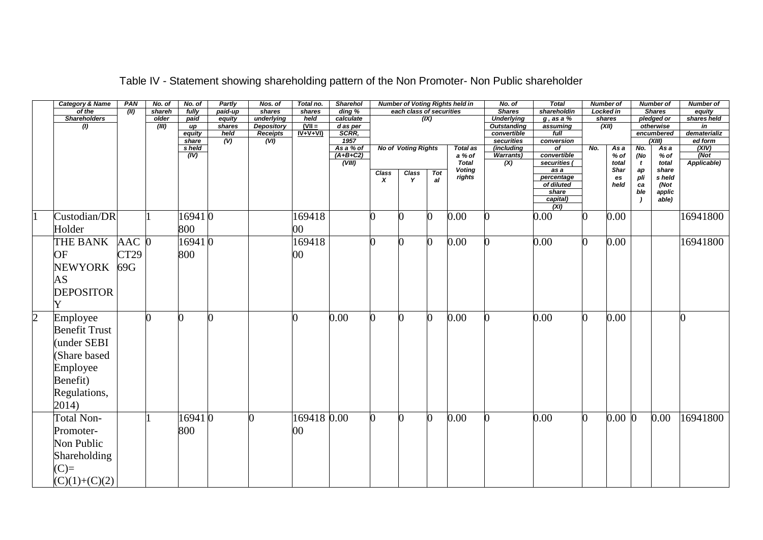|                | <b>Category &amp; Name</b> | PAN              | No. of | No. of       | <b>Partly</b>  | Nos. of                       | Total no.             | <b>Sharehol</b>   |                |                            |          | <b>Number of Voting Rights held in</b> | No. of                            | <b>Total</b>                                   |              | <b>Number of</b>     |              | <b>Number of</b>        | <b>Number of</b>          |
|----------------|----------------------------|------------------|--------|--------------|----------------|-------------------------------|-----------------------|-------------------|----------------|----------------------------|----------|----------------------------------------|-----------------------------------|------------------------------------------------|--------------|----------------------|--------------|-------------------------|---------------------------|
|                | of the                     | (III)            | shareh | fully        | paid-up        | shares                        | shares                | ding %            |                | each class of securities   |          |                                        | <b>Shares</b>                     | shareholdin                                    |              | Locked in            |              | <b>Shares</b>           | equity                    |
|                | <b>Shareholders</b>        |                  | older  | paid         | equity         | underlying                    | held                  | calculate         |                |                            | (X)      |                                        | <b>Underlying</b>                 | $g$ , as a $%$                                 |              | shares               |              | pledged or              | shares held               |
|                | (1)                        |                  | (III)  | up<br>equity | shares<br>held | Depository<br><b>Receipts</b> | $(VII =$<br>$IV+V+VI$ | d as per<br>SCRR, |                |                            |          |                                        | <b>Outstanding</b><br>convertible | assuming<br>full                               |              | (XII)                |              | otherwise<br>encumbered | in<br>dematerializ        |
|                |                            |                  |        | share        | (V)            | (VI)                          |                       | 1957              |                |                            |          |                                        | securities                        | conversion                                     |              |                      |              | (XIII)                  | ed form                   |
|                |                            |                  |        | s held       |                |                               |                       | As a % of         |                | <b>No of Voting Rights</b> |          | <b>Total as</b>                        | (including                        | of                                             | No.          | As a                 | No.          | As a                    | (XIV)                     |
|                |                            |                  |        | (IV)         |                |                               |                       | $(A+B+C2)$        |                |                            |          | a % of                                 | <b>Warrants)</b>                  | convertible                                    |              | % of                 | (No          | $%$ of                  | $\overline{\textsf{Not}}$ |
|                |                            |                  |        |              |                |                               |                       | (VIII)            |                |                            |          | <b>Total</b><br><b>Voting</b>          | (X)                               | securities (<br>$\overline{as}$ $\overline{a}$ |              | total<br><b>Shar</b> | $\mathbf{t}$ | total<br>share          | Applicable)               |
|                |                            |                  |        |              |                |                               |                       |                   | Class          | <b>Class</b><br>Y          | Tot      | rights                                 |                                   | percentage                                     |              | es                   | ap<br>pli    | s held                  |                           |
|                |                            |                  |        |              |                |                               |                       |                   | x              |                            | al       |                                        |                                   | of diluted                                     |              | held                 | ca           | (Not                    |                           |
|                |                            |                  |        |              |                |                               |                       |                   |                |                            |          |                                        |                                   | share                                          |              |                      | ble          | applic                  |                           |
|                |                            |                  |        |              |                |                               |                       |                   |                |                            |          |                                        |                                   | capital)<br>(XI)                               |              |                      |              | $a$ <sub>b</sub> $e$    |                           |
| $\overline{1}$ | Custodian/DR               |                  |        | 169410       |                |                               | 169418                |                   | O              | 0                          | $\Omega$ | 0.00                                   |                                   | 0.00                                           | 0            | 0.00                 |              |                         | 16941800                  |
|                | Holder                     |                  |        | 800          |                |                               | $00\,$                |                   |                |                            |          |                                        |                                   |                                                |              |                      |              |                         |                           |
|                | THE BANK                   | $AAC$ 0          |        | 169410       |                |                               | 169418                |                   | O              | 0                          | 0        | 0.00                                   | 0                                 | 0.00                                           | $\Omega$     | 0.00                 |              |                         | 16941800                  |
|                | OF                         | CT <sub>29</sub> |        | 800          |                |                               | 00                    |                   |                |                            |          |                                        |                                   |                                                |              |                      |              |                         |                           |
|                | <b>NEWYORK</b>             | 69G              |        |              |                |                               |                       |                   |                |                            |          |                                        |                                   |                                                |              |                      |              |                         |                           |
|                | <b>AS</b>                  |                  |        |              |                |                               |                       |                   |                |                            |          |                                        |                                   |                                                |              |                      |              |                         |                           |
|                | <b>DEPOSITOR</b>           |                  |        |              |                |                               |                       |                   |                |                            |          |                                        |                                   |                                                |              |                      |              |                         |                           |
|                | Y                          |                  |        |              |                |                               |                       |                   |                |                            |          |                                        |                                   |                                                |              |                      |              |                         |                           |
| $\overline{2}$ | Employee                   |                  | ∩      | ∩            |                |                               | 0                     | 0.00              | 0              |                            | 0        | 0.00                                   |                                   | 0.00                                           | 0            | 0.00                 |              |                         | 0                         |
|                | <b>Benefit Trust</b>       |                  |        |              |                |                               |                       |                   |                |                            |          |                                        |                                   |                                                |              |                      |              |                         |                           |
|                | under SEBI                 |                  |        |              |                |                               |                       |                   |                |                            |          |                                        |                                   |                                                |              |                      |              |                         |                           |
|                | Share based                |                  |        |              |                |                               |                       |                   |                |                            |          |                                        |                                   |                                                |              |                      |              |                         |                           |
|                | Employee                   |                  |        |              |                |                               |                       |                   |                |                            |          |                                        |                                   |                                                |              |                      |              |                         |                           |
|                | Benefit)                   |                  |        |              |                |                               |                       |                   |                |                            |          |                                        |                                   |                                                |              |                      |              |                         |                           |
|                | Regulations,               |                  |        |              |                |                               |                       |                   |                |                            |          |                                        |                                   |                                                |              |                      |              |                         |                           |
|                | 2014)                      |                  |        |              |                |                               |                       |                   |                |                            |          |                                        |                                   |                                                |              |                      |              |                         |                           |
|                | <b>Total Non-</b>          |                  |        | 169410       |                | ∩                             | 169418 0.00           |                   | $\overline{0}$ | $\Omega$                   | 0        | 0.00                                   | 0                                 | 0.00                                           | $\mathbf{0}$ | $0.00\,0$            |              | 0.00                    | 16941800                  |
|                | Promoter-                  |                  |        | 800          |                |                               | 00                    |                   |                |                            |          |                                        |                                   |                                                |              |                      |              |                         |                           |
|                | Non Public                 |                  |        |              |                |                               |                       |                   |                |                            |          |                                        |                                   |                                                |              |                      |              |                         |                           |
|                | Shareholding               |                  |        |              |                |                               |                       |                   |                |                            |          |                                        |                                   |                                                |              |                      |              |                         |                           |
|                | $(C)=$                     |                  |        |              |                |                               |                       |                   |                |                            |          |                                        |                                   |                                                |              |                      |              |                         |                           |
|                | $(C)(1)+(C)(2)$            |                  |        |              |                |                               |                       |                   |                |                            |          |                                        |                                   |                                                |              |                      |              |                         |                           |

# Table IV - Statement showing shareholding pattern of the Non Promoter- Non Public shareholder